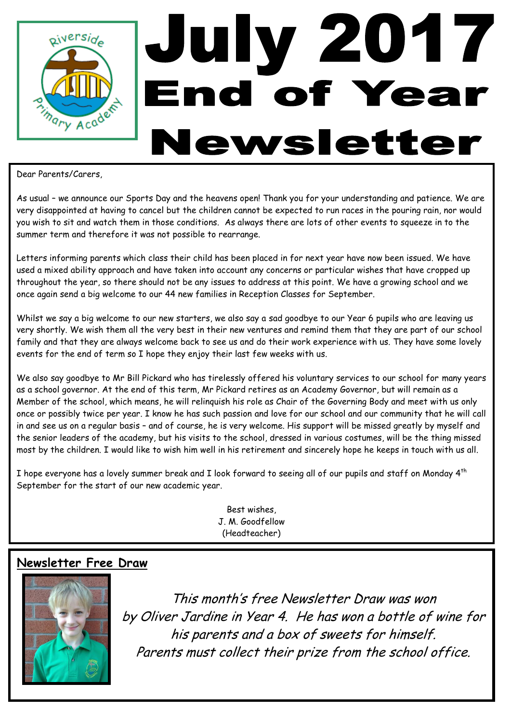

Dear Parents/Carers,

As usual – we announce our Sports Day and the heavens open! Thank you for your understanding and patience. We are very disappointed at having to cancel but the children cannot be expected to run races in the pouring rain, nor would you wish to sit and watch them in those conditions. As always there are lots of other events to squeeze in to the summer term and therefore it was not possible to rearrange.

Letters informing parents which class their child has been placed in for next year have now been issued. We have used a mixed ability approach and have taken into account any concerns or particular wishes that have cropped up throughout the year, so there should not be any issues to address at this point. We have a growing school and we once again send a big welcome to our 44 new families in Reception Classes for September.

Whilst we say a big welcome to our new starters, we also say a sad goodbye to our Year 6 pupils who are leaving us very shortly. We wish them all the very best in their new ventures and remind them that they are part of our school family and that they are always welcome back to see us and do their work experience with us. They have some lovely events for the end of term so I hope they enjoy their last few weeks with us.

We also say goodbye to Mr Bill Pickard who has tirelessly offered his voluntary services to our school for many years as a school governor. At the end of this term, Mr Pickard retires as an Academy Governor, but will remain as a Member of the school, which means, he will relinquish his role as Chair of the Governing Body and meet with us only once or possibly twice per year. I know he has such passion and love for our school and our community that he will call in and see us on a regular basis – and of course, he is very welcome. His support will be missed greatly by myself and the senior leaders of the academy, but his visits to the school, dressed in various costumes, will be the thing missed most by the children. I would like to wish him well in his retirement and sincerely hope he keeps in touch with us all.

I hope everyone has a lovely summer break and I look forward to seeing all of our pupils and staff on Monday  $4^{th}$ September for the start of our new academic year.

> Best wishes, J. M. Goodfellow (Headteacher)

### **Newsletter Free Draw**



This month's free Newsletter Draw was won by Oliver Jardine in Year 4. He has won a bottle of wine for his parents and a box of sweets for himself. Parents must collect their prize from the school office.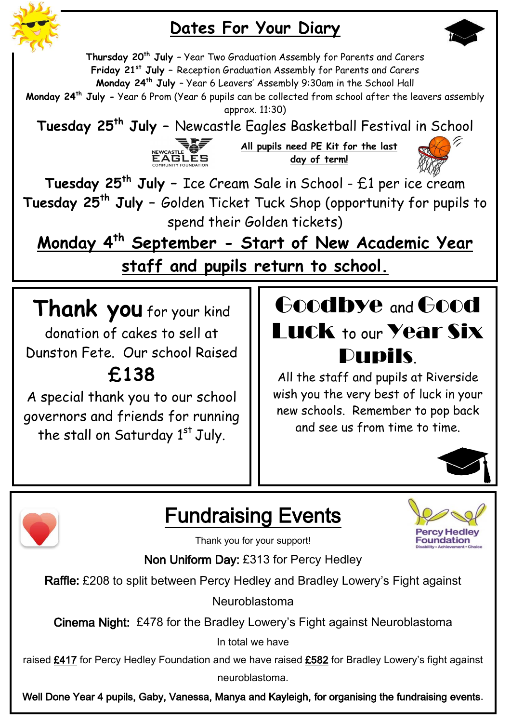

### **Dates For Your Diary**



**Thursday 20th July –** Year Two Graduation Assembly for Parents and Carers **Friday 21st July –** Reception Graduation Assembly for Parents and Carers **Monday 24th July** – Year 6 Leavers' Assembly 9:30am in the School Hall **Monday 24th July -** Year 6 Prom (Year 6 pupils can be collected from school after the leavers assembly approx. 11:30) **Tuesday 25th July –** Newcastle Eagles Basketball Festival in School



**All pupils need PE Kit for the last day of term!**



**Tuesday 25th July –** Ice Cream Sale in School - £1 per ice cream **Tuesday 25th July –** Golden Ticket Tuck Shop (opportunity for pupils to spend their Golden tickets)

**Monday 4th September - Start of New Academic Year staff and pupils return to school.**

**Thank you** for your kind donation of cakes to sell at Dunston Fete. Our school Raised **£138**

A special thank you to our school governors and friends for running the stall on Saturday 1st July.



All the staff and pupils at Riverside wish you the very best of luck in your new schools. Remember to pop back and see us from time to time.





Fundraising Events

**Foundation** 

Thank you for your support!

Non Uniform Day: £313 for Percy Hedley

Raffle: £208 to split between Percy Hedley and Bradley Lowery's Fight against

Neuroblastoma

Cinema Night: £478 for the Bradley Lowery's Fight against Neuroblastoma

In total we have

raised £417 for Percy Hedley Foundation and we have raised £582 for Bradley Lowery's fight against neuroblastoma.

Well Done Year 4 pupils, Gaby, Vanessa, Manya and Kayleigh, for organising the fundraising events.

these events.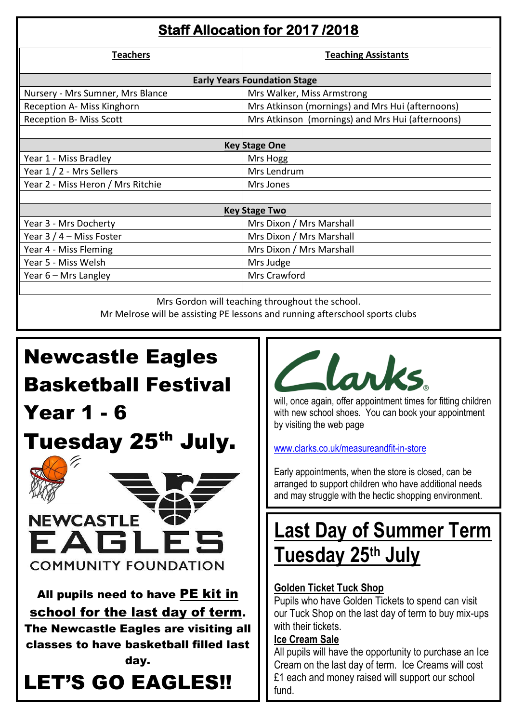| Staff Allocation for 2017 / 2018    |                                                  |  |  |  |  |
|-------------------------------------|--------------------------------------------------|--|--|--|--|
| <b>Teachers</b>                     | <b>Teaching Assistants</b>                       |  |  |  |  |
| <b>Early Years Foundation Stage</b> |                                                  |  |  |  |  |
| Nursery - Mrs Sumner, Mrs Blance    | Mrs Walker, Miss Armstrong                       |  |  |  |  |
| Reception A- Miss Kinghorn          | Mrs Atkinson (mornings) and Mrs Hui (afternoons) |  |  |  |  |
| <b>Reception B- Miss Scott</b>      | Mrs Atkinson (mornings) and Mrs Hui (afternoons) |  |  |  |  |
|                                     |                                                  |  |  |  |  |
| <b>Key Stage One</b>                |                                                  |  |  |  |  |
| Year 1 - Miss Bradley               | Mrs Hogg                                         |  |  |  |  |
| Year 1 / 2 - Mrs Sellers            | Mrs Lendrum                                      |  |  |  |  |
| Year 2 - Miss Heron / Mrs Ritchie   | Mrs Jones                                        |  |  |  |  |
|                                     |                                                  |  |  |  |  |
| <b>Key Stage Two</b>                |                                                  |  |  |  |  |
| Year 3 - Mrs Docherty               | Mrs Dixon / Mrs Marshall                         |  |  |  |  |
| Year $3/4$ – Miss Foster            | Mrs Dixon / Mrs Marshall                         |  |  |  |  |
| Year 4 - Miss Fleming               | Mrs Dixon / Mrs Marshall                         |  |  |  |  |
| Year 5 - Miss Welsh                 | Mrs Judge                                        |  |  |  |  |
| Year 6 - Mrs Langley                | Mrs Crawford                                     |  |  |  |  |
|                                     |                                                  |  |  |  |  |
|                                     | Mrs Gordon will teaching throughout the school   |  |  |  |  |

Mrs Gordon will teaching throughout the school. Mr Melrose will be assisting PE lessons and running afterschool sports clubs

# Newcastle Eagles Basketball Festival Year 1 - 6 Tuesday 25<sup>th</sup> July. **NEWCASTLE COMMUNITY FOUNDATION** All pupils need to have PE kit in school for the last day of term. The Newcastle Eagles are visiting all classes to have basketball filled last day. LET'S GO EAGLES!!



will, once again, offer appointment times for fitting children with new school shoes. You can book your appointment by visiting the web page

[www.clarks.co.uk/measureandfit-in-store](http://www.clarks.co.uk/measureandfit-in-store)

Early appointments, when the store is closed, can be arranged to support children who have additional needs and may struggle with the hectic shopping environment.

## **Last Day of Summer Term Tuesday 25th July**

### **Golden Ticket Tuck Shop**

Pupils who have Golden Tickets to spend can visit our Tuck Shop on the last day of term to buy mix-ups with their tickets.

### **Ice Cream Sale**

All pupils will have the opportunity to purchase an Ice Cream on the last day of term. Ice Creams will cost £1 each and money raised will support our school fund.